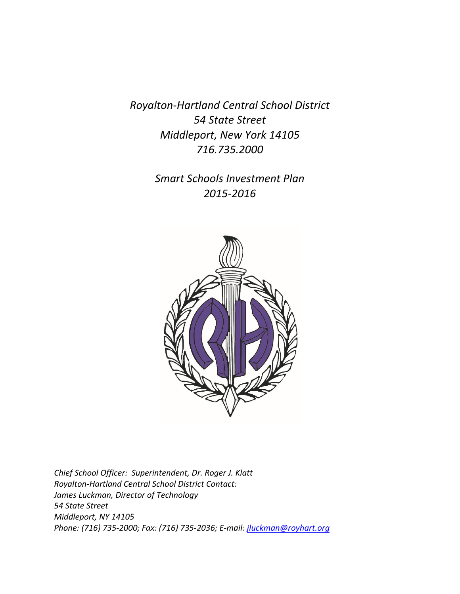*Royalton-Hartland Central School District 54 State Street Middleport, New York 14105 716.735.2000*

> *Smart Schools Investment Plan 2015-2016*



*Chief School Officer: Superintendent, Dr. Roger J. Klatt Royalton-Hartland Central School District Contact: James Luckman, Director of Technology 54 State Street Middleport, NY 14105 Phone: (716) 735-2000; Fax: (716) 735-2036; E-mail: [jluckman@royhart.org](mailto:jluckman@royhart.org)*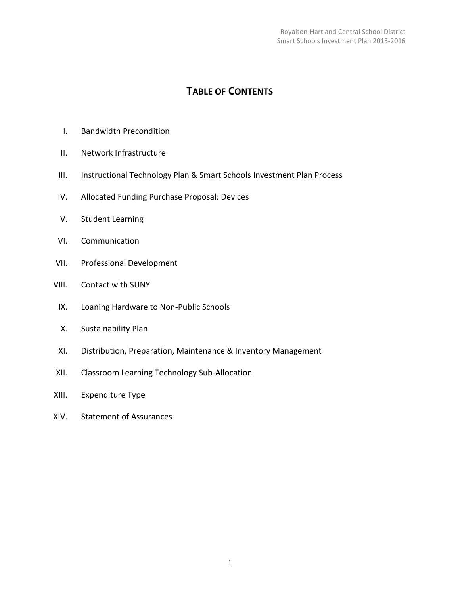# **TABLE OF CONTENTS**

- I. Bandwidth Precondition
- II. Network Infrastructure
- III. Instructional Technology Plan & Smart Schools Investment Plan Process
- IV. Allocated Funding Purchase Proposal: Devices
- V. Student Learning
- VI. Communication
- VII. Professional Development
- VIII. Contact with SUNY
	- IX. Loaning Hardware to Non-Public Schools
	- X. Sustainability Plan
	- XI. Distribution, Preparation, Maintenance & Inventory Management
- XII. Classroom Learning Technology Sub-Allocation
- XIII. Expenditure Type
- XIV. Statement of Assurances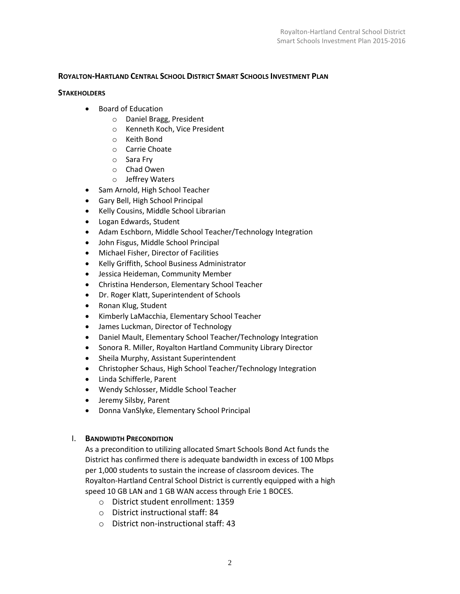# **ROYALTON-HARTLAND CENTRAL SCHOOL DISTRICT SMART SCHOOLS INVESTMENT PLAN**

#### **STAKEHOLDERS**

- Board of Education
	- o Daniel Bragg, President
	- o Kenneth Koch, Vice President
	- o Keith Bond
	- o Carrie Choate
	- o Sara Fry
	- o Chad Owen
	- o Jeffrey Waters
- Sam Arnold, High School Teacher
- Gary Bell, High School Principal
- Kelly Cousins, Middle School Librarian
- Logan Edwards, Student
- Adam Eschborn, Middle School Teacher/Technology Integration
- John Fisgus, Middle School Principal
- Michael Fisher, Director of Facilities
- Kelly Griffith, School Business Administrator
- Jessica Heideman, Community Member
- Christina Henderson, Elementary School Teacher
- Dr. Roger Klatt, Superintendent of Schools
- Ronan Klug, Student
- Kimberly LaMacchia, Elementary School Teacher
- James Luckman, Director of Technology
- Daniel Mault, Elementary School Teacher/Technology Integration
- Sonora R. Miller, Royalton Hartland Community Library Director
- Sheila Murphy, Assistant Superintendent
- Christopher Schaus, High School Teacher/Technology Integration
- Linda Schifferle, Parent
- Wendy Schlosser, Middle School Teacher
- Jeremy Silsby, Parent
- Donna VanSlyke, Elementary School Principal

## I. **BANDWIDTH PRECONDITION**

As a precondition to utilizing allocated Smart Schools Bond Act funds the District has confirmed there is adequate bandwidth in excess of 100 Mbps per 1,000 students to sustain the increase of classroom devices. The Royalton-Hartland Central School District is currently equipped with a high speed 10 GB LAN and 1 GB WAN access through Erie 1 BOCES.

- o District student enrollment: 1359
- o District instructional staff: 84
- o District non-instructional staff: 43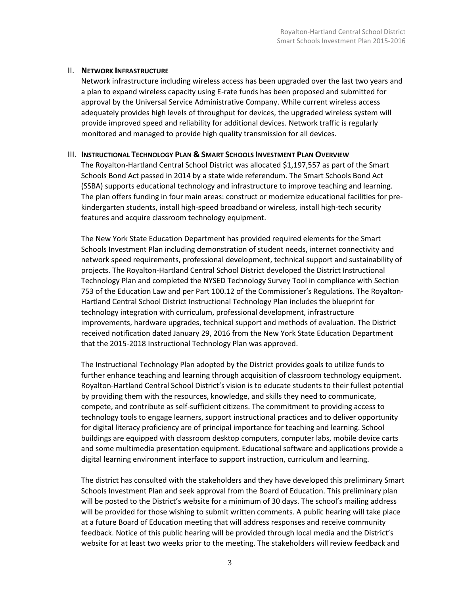## II. **NETWORK INFRASTRUCTURE**

Network infrastructure including wireless access has been upgraded over the last two years and a plan to expand wireless capacity using E-rate funds has been proposed and submitted for approval by the Universal Service Administrative Company. While current wireless access adequately provides high levels of throughput for devices, the upgraded wireless system will provide improved speed and reliability for additional devices. Network traffic is regularly monitored and managed to provide high quality transmission for all devices.

## III. **INSTRUCTIONAL TECHNOLOGY PLAN & SMART SCHOOLS INVESTMENT PLAN OVERVIEW**

The Royalton-Hartland Central School District was allocated \$1,197,557 as part of the Smart Schools Bond Act passed in 2014 by a state wide referendum. The Smart Schools Bond Act (SSBA) supports educational technology and infrastructure to improve teaching and learning. The plan offers funding in four main areas: construct or modernize educational facilities for prekindergarten students, install high-speed broadband or wireless, install high-tech security features and acquire classroom technology equipment.

The New York State Education Department has provided required elements for the Smart Schools Investment Plan including demonstration of student needs, internet connectivity and network speed requirements, professional development, technical support and sustainability of projects. The Royalton-Hartland Central School District developed the District Instructional Technology Plan and completed the NYSED Technology Survey Tool in compliance with Section 753 of the Education Law and per Part 100.12 of the Commissioner's Regulations. The Royalton-Hartland Central School District Instructional Technology Plan includes the blueprint for technology integration with curriculum, professional development, infrastructure improvements, hardware upgrades, technical support and methods of evaluation. The District received notification dated January 29, 2016 from the New York State Education Department that the 2015-2018 Instructional Technology Plan was approved.

The Instructional Technology Plan adopted by the District provides goals to utilize funds to further enhance teaching and learning through acquisition of classroom technology equipment. Royalton-Hartland Central School District's vision is to educate students to their fullest potential by providing them with the resources, knowledge, and skills they need to communicate, compete, and contribute as self-sufficient citizens. The commitment to providing access to technology tools to engage learners, support instructional practices and to deliver opportunity for digital literacy proficiency are of principal importance for teaching and learning. School buildings are equipped with classroom desktop computers, computer labs, mobile device carts and some multimedia presentation equipment. Educational software and applications provide a digital learning environment interface to support instruction, curriculum and learning.

The district has consulted with the stakeholders and they have developed this preliminary Smart Schools Investment Plan and seek approval from the Board of Education. This preliminary plan will be posted to the District's website for a minimum of 30 days. The school's mailing address will be provided for those wishing to submit written comments. A public hearing will take place at a future Board of Education meeting that will address responses and receive community feedback. Notice of this public hearing will be provided through local media and the District's website for at least two weeks prior to the meeting. The stakeholders will review feedback and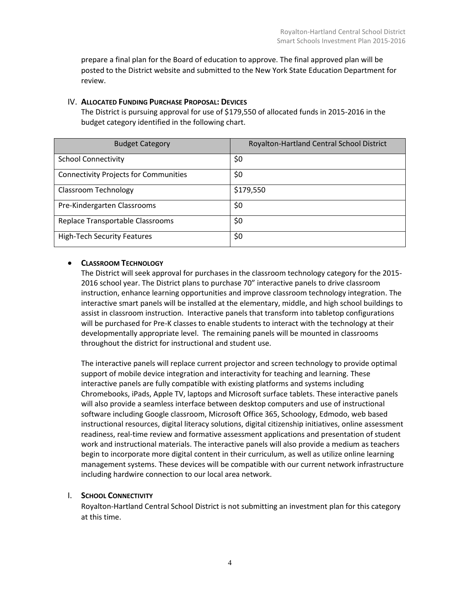prepare a final plan for the Board of education to approve. The final approved plan will be posted to the District website and submitted to the New York State Education Department for review.

## IV. **ALLOCATED FUNDING PURCHASE PROPOSAL: DEVICES**

The District is pursuing approval for use of \$179,550 of allocated funds in 2015-2016 in the budget category identified in the following chart.

| <b>Budget Category</b>                       | Royalton-Hartland Central School District |
|----------------------------------------------|-------------------------------------------|
| <b>School Connectivity</b>                   | \$0                                       |
| <b>Connectivity Projects for Communities</b> | \$0                                       |
| Classroom Technology                         | \$179,550                                 |
| Pre-Kindergarten Classrooms                  | \$0                                       |
| Replace Transportable Classrooms             | \$0                                       |
| <b>High-Tech Security Features</b>           | \$0                                       |

# **CLASSROOM TECHNOLOGY**

The District will seek approval for purchases in the classroom technology category for the 2015- 2016 school year. The District plans to purchase 70" interactive panels to drive classroom instruction, enhance learning opportunities and improve classroom technology integration. The interactive smart panels will be installed at the elementary, middle, and high school buildings to assist in classroom instruction. Interactive panels that transform into tabletop configurations will be purchased for Pre-K classes to enable students to interact with the technology at their developmentally appropriate level. The remaining panels will be mounted in classrooms throughout the district for instructional and student use.

The interactive panels will replace current projector and screen technology to provide optimal support of mobile device integration and interactivity for teaching and learning. These interactive panels are fully compatible with existing platforms and systems including Chromebooks, iPads, Apple TV, laptops and Microsoft surface tablets. These interactive panels will also provide a seamless interface between desktop computers and use of instructional software including Google classroom, Microsoft Office 365, Schoology, Edmodo, web based instructional resources, digital literacy solutions, digital citizenship initiatives, online assessment readiness, real-time review and formative assessment applications and presentation of student work and instructional materials. The interactive panels will also provide a medium as teachers begin to incorporate more digital content in their curriculum, as well as utilize online learning management systems. These devices will be compatible with our current network infrastructure including hardwire connection to our local area network.

# I. **SCHOOL CONNECTIVITY**

Royalton-Hartland Central School District is not submitting an investment plan for this category at this time.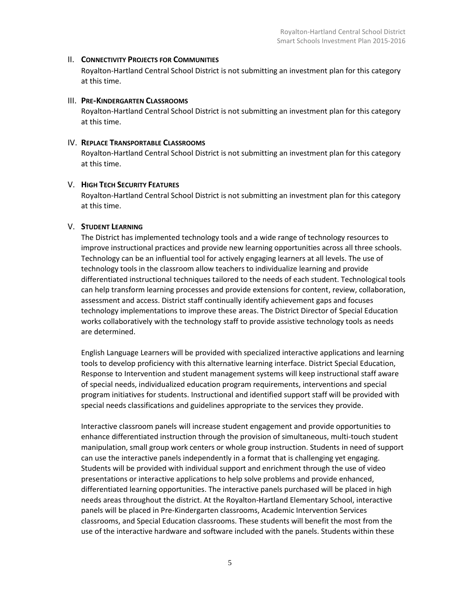## II. **CONNECTIVITY PROJECTS FOR COMMUNITIES**

Royalton-Hartland Central School District is not submitting an investment plan for this category at this time.

# III. **PRE-KINDERGARTEN CLASSROOMS**

Royalton-Hartland Central School District is not submitting an investment plan for this category at this time.

# IV. **REPLACE TRANSPORTABLE CLASSROOMS**

Royalton-Hartland Central School District is not submitting an investment plan for this category at this time.

# V. **HIGH TECH SECURITY FEATURES**

Royalton-Hartland Central School District is not submitting an investment plan for this category at this time.

# V. **STUDENT LEARNING**

The District has implemented technology tools and a wide range of technology resources to improve instructional practices and provide new learning opportunities across all three schools. Technology can be an influential tool for actively engaging learners at all levels. The use of technology tools in the classroom allow teachers to individualize learning and provide differentiated instructional techniques tailored to the needs of each student. Technological tools can help transform learning processes and provide extensions for content, review, collaboration, assessment and access. District staff continually identify achievement gaps and focuses technology implementations to improve these areas. The District Director of Special Education works collaboratively with the technology staff to provide assistive technology tools as needs are determined.

English Language Learners will be provided with specialized interactive applications and learning tools to develop proficiency with this alternative learning interface. District Special Education, Response to Intervention and student management systems will keep instructional staff aware of special needs, individualized education program requirements, interventions and special program initiatives for students. Instructional and identified support staff will be provided with special needs classifications and guidelines appropriate to the services they provide.

Interactive classroom panels will increase student engagement and provide opportunities to enhance differentiated instruction through the provision of simultaneous, multi-touch student manipulation, small group work centers or whole group instruction. Students in need of support can use the interactive panels independently in a format that is challenging yet engaging. Students will be provided with individual support and enrichment through the use of video presentations or interactive applications to help solve problems and provide enhanced, differentiated learning opportunities. The interactive panels purchased will be placed in high needs areas throughout the district. At the Royalton-Hartland Elementary School, interactive panels will be placed in Pre-Kindergarten classrooms, Academic Intervention Services classrooms, and Special Education classrooms. These students will benefit the most from the use of the interactive hardware and software included with the panels. Students within these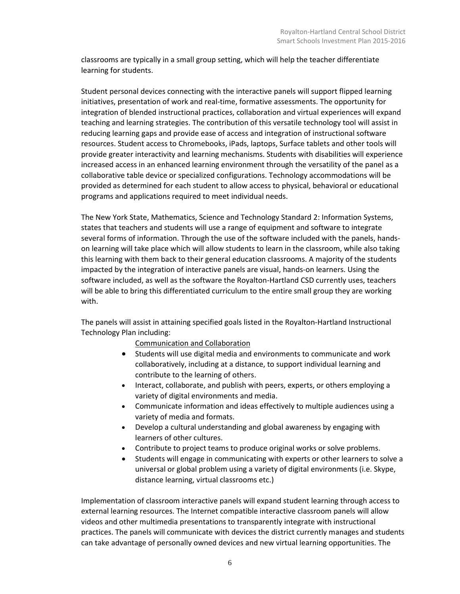classrooms are typically in a small group setting, which will help the teacher differentiate learning for students.

Student personal devices connecting with the interactive panels will support flipped learning initiatives, presentation of work and real-time, formative assessments. The opportunity for integration of blended instructional practices, collaboration and virtual experiences will expand teaching and learning strategies. The contribution of this versatile technology tool will assist in reducing learning gaps and provide ease of access and integration of instructional software resources. Student access to Chromebooks, iPads, laptops, Surface tablets and other tools will provide greater interactivity and learning mechanisms. Students with disabilities will experience increased access in an enhanced learning environment through the versatility of the panel as a collaborative table device or specialized configurations. Technology accommodations will be provided as determined for each student to allow access to physical, behavioral or educational programs and applications required to meet individual needs.

The New York State, Mathematics, Science and Technology Standard 2: Information Systems, states that teachers and students will use a range of equipment and software to integrate several forms of information. Through the use of the software included with the panels, handson learning will take place which will allow students to learn in the classroom, while also taking this learning with them back to their general education classrooms. A majority of the students impacted by the integration of interactive panels are visual, hands-on learners. Using the software included, as well as the software the Royalton-Hartland CSD currently uses, teachers will be able to bring this differentiated curriculum to the entire small group they are working with.

The panels will assist in attaining specified goals listed in the Royalton-Hartland Instructional Technology Plan including:

Communication and Collaboration

- Students will use digital media and environments to communicate and work collaboratively, including at a distance, to support individual learning and contribute to the learning of others.
- Interact, collaborate, and publish with peers, experts, or others employing a variety of digital environments and media.
- Communicate information and ideas effectively to multiple audiences using a variety of media and formats.
- Develop a cultural understanding and global awareness by engaging with learners of other cultures.
- Contribute to project teams to produce original works or solve problems.
- Students will engage in communicating with experts or other learners to solve a universal or global problem using a variety of digital environments (i.e. Skype, distance learning, virtual classrooms etc.)

Implementation of classroom interactive panels will expand student learning through access to external learning resources. The Internet compatible interactive classroom panels will allow videos and other multimedia presentations to transparently integrate with instructional practices. The panels will communicate with devices the district currently manages and students can take advantage of personally owned devices and new virtual learning opportunities. The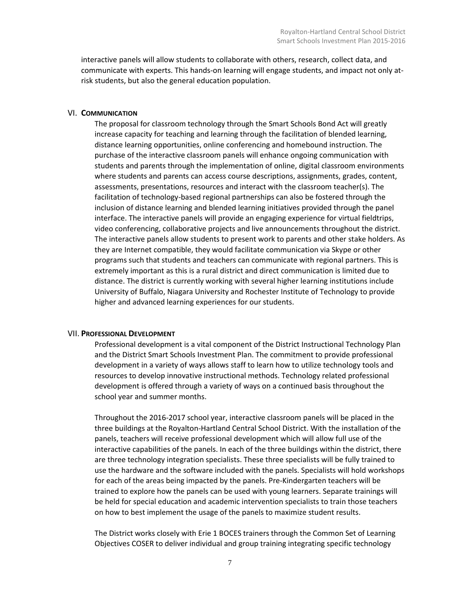interactive panels will allow students to collaborate with others, research, collect data, and communicate with experts. This hands-on learning will engage students, and impact not only atrisk students, but also the general education population.

#### VI. **COMMUNICATION**

The proposal for classroom technology through the Smart Schools Bond Act will greatly increase capacity for teaching and learning through the facilitation of blended learning, distance learning opportunities, online conferencing and homebound instruction. The purchase of the interactive classroom panels will enhance ongoing communication with students and parents through the implementation of online, digital classroom environments where students and parents can access course descriptions, assignments, grades, content, assessments, presentations, resources and interact with the classroom teacher(s). The facilitation of technology-based regional partnerships can also be fostered through the inclusion of distance learning and blended learning initiatives provided through the panel interface. The interactive panels will provide an engaging experience for virtual fieldtrips, video conferencing, collaborative projects and live announcements throughout the district. The interactive panels allow students to present work to parents and other stake holders. As they are Internet compatible, they would facilitate communication via Skype or other programs such that students and teachers can communicate with regional partners. This is extremely important as this is a rural district and direct communication is limited due to distance. The district is currently working with several higher learning institutions include University of Buffalo, Niagara University and Rochester Institute of Technology to provide higher and advanced learning experiences for our students.

#### VII. **PROFESSIONAL DEVELOPMENT**

Professional development is a vital component of the District Instructional Technology Plan and the District Smart Schools Investment Plan. The commitment to provide professional development in a variety of ways allows staff to learn how to utilize technology tools and resources to develop innovative instructional methods. Technology related professional development is offered through a variety of ways on a continued basis throughout the school year and summer months.

Throughout the 2016-2017 school year, interactive classroom panels will be placed in the three buildings at the Royalton-Hartland Central School District. With the installation of the panels, teachers will receive professional development which will allow full use of the interactive capabilities of the panels. In each of the three buildings within the district, there are three technology integration specialists. These three specialists will be fully trained to use the hardware and the software included with the panels. Specialists will hold workshops for each of the areas being impacted by the panels. Pre-Kindergarten teachers will be trained to explore how the panels can be used with young learners. Separate trainings will be held for special education and academic intervention specialists to train those teachers on how to best implement the usage of the panels to maximize student results.

The District works closely with Erie 1 BOCES trainers through the Common Set of Learning Objectives COSER to deliver individual and group training integrating specific technology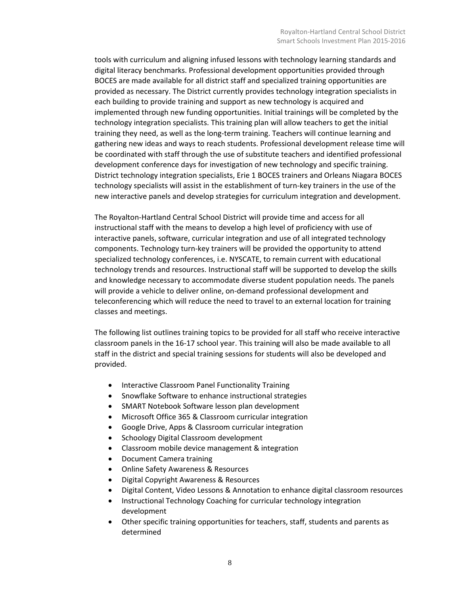tools with curriculum and aligning infused lessons with technology learning standards and digital literacy benchmarks. Professional development opportunities provided through BOCES are made available for all district staff and specialized training opportunities are provided as necessary. The District currently provides technology integration specialists in each building to provide training and support as new technology is acquired and implemented through new funding opportunities. Initial trainings will be completed by the technology integration specialists. This training plan will allow teachers to get the initial training they need, as well as the long-term training. Teachers will continue learning and gathering new ideas and ways to reach students. Professional development release time will be coordinated with staff through the use of substitute teachers and identified professional development conference days for investigation of new technology and specific training. District technology integration specialists, Erie 1 BOCES trainers and Orleans Niagara BOCES technology specialists will assist in the establishment of turn-key trainers in the use of the new interactive panels and develop strategies for curriculum integration and development.

The Royalton-Hartland Central School District will provide time and access for all instructional staff with the means to develop a high level of proficiency with use of interactive panels, software, curricular integration and use of all integrated technology components. Technology turn-key trainers will be provided the opportunity to attend specialized technology conferences, i.e. NYSCATE, to remain current with educational technology trends and resources. Instructional staff will be supported to develop the skills and knowledge necessary to accommodate diverse student population needs. The panels will provide a vehicle to deliver online, on-demand professional development and teleconferencing which will reduce the need to travel to an external location for training classes and meetings.

The following list outlines training topics to be provided for all staff who receive interactive classroom panels in the 16-17 school year. This training will also be made available to all staff in the district and special training sessions for students will also be developed and provided.

- Interactive Classroom Panel Functionality Training
- Snowflake Software to enhance instructional strategies
- SMART Notebook Software lesson plan development
- Microsoft Office 365 & Classroom curricular integration
- Google Drive, Apps & Classroom curricular integration
- Schoology Digital Classroom development
- Classroom mobile device management & integration
- Document Camera training
- Online Safety Awareness & Resources
- Digital Copyright Awareness & Resources
- Digital Content, Video Lessons & Annotation to enhance digital classroom resources
- Instructional Technology Coaching for curricular technology integration development
- Other specific training opportunities for teachers, staff, students and parents as determined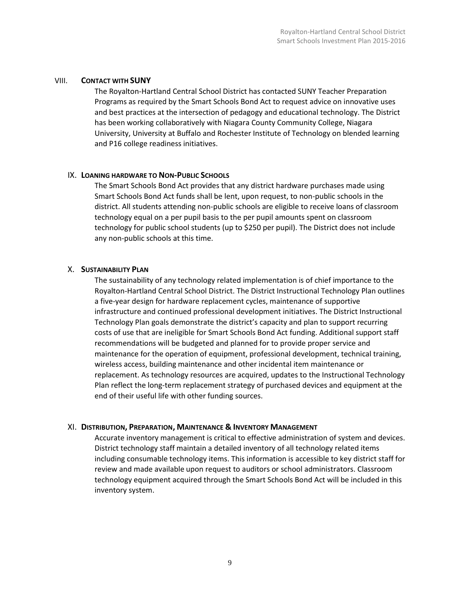#### VIII. **CONTACT WITH SUNY**

The Royalton-Hartland Central School District has contacted SUNY Teacher Preparation Programs as required by the Smart Schools Bond Act to request advice on innovative uses and best practices at the intersection of pedagogy and educational technology. The District has been working collaboratively with Niagara County Community College, Niagara University, University at Buffalo and Rochester Institute of Technology on blended learning and P16 college readiness initiatives.

#### IX. **LOANING HARDWARE TO NON-PUBLIC SCHOOLS**

The Smart Schools Bond Act provides that any district hardware purchases made using Smart Schools Bond Act funds shall be lent, upon request, to non-public schools in the district. All students attending non-public schools are eligible to receive loans of classroom technology equal on a per pupil basis to the per pupil amounts spent on classroom technology for public school students (up to \$250 per pupil). The District does not include any non-public schools at this time.

#### X. **SUSTAINABILITY PLAN**

The sustainability of any technology related implementation is of chief importance to the Royalton-Hartland Central School District. The District Instructional Technology Plan outlines a five-year design for hardware replacement cycles, maintenance of supportive infrastructure and continued professional development initiatives. The District Instructional Technology Plan goals demonstrate the district's capacity and plan to support recurring costs of use that are ineligible for Smart Schools Bond Act funding. Additional support staff recommendations will be budgeted and planned for to provide proper service and maintenance for the operation of equipment, professional development, technical training, wireless access, building maintenance and other incidental item maintenance or replacement. As technology resources are acquired, updates to the Instructional Technology Plan reflect the long-term replacement strategy of purchased devices and equipment at the end of their useful life with other funding sources.

## XI. **DISTRIBUTION, PREPARATION, MAINTENANCE & INVENTORY MANAGEMENT**

Accurate inventory management is critical to effective administration of system and devices. District technology staff maintain a detailed inventory of all technology related items including consumable technology items. This information is accessible to key district staff for review and made available upon request to auditors or school administrators. Classroom technology equipment acquired through the Smart Schools Bond Act will be included in this inventory system.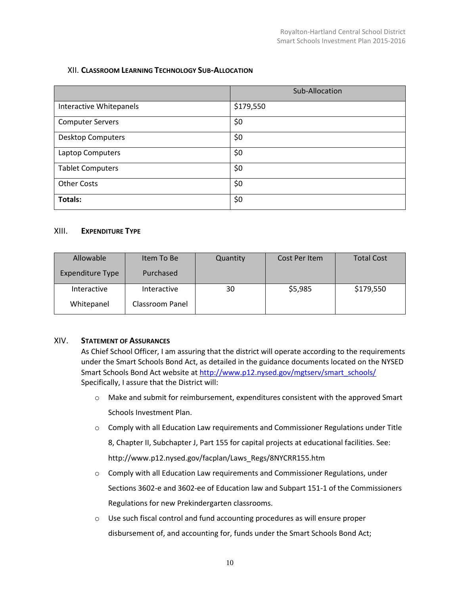# XII. **CLASSROOM LEARNING TECHNOLOGY SUB-ALLOCATION**

|                          | Sub-Allocation |  |  |
|--------------------------|----------------|--|--|
| Interactive Whitepanels  | \$179,550      |  |  |
| <b>Computer Servers</b>  | \$0            |  |  |
| <b>Desktop Computers</b> | \$0            |  |  |
| Laptop Computers         | \$0            |  |  |
| <b>Tablet Computers</b>  | \$0            |  |  |
| <b>Other Costs</b>       | \$0            |  |  |
| <b>Totals:</b>           | \$0            |  |  |

#### XIII. **EXPENDITURE TYPE**

| Allowable               | Item To Be      | Quantity | Cost Per Item | <b>Total Cost</b> |
|-------------------------|-----------------|----------|---------------|-------------------|
| <b>Expenditure Type</b> | Purchased       |          |               |                   |
| Interactive             | Interactive     | 30       | \$5,985       | \$179,550         |
| Whitepanel              | Classroom Panel |          |               |                   |

## XIV. **STATEMENT OF ASSURANCES**

As Chief School Officer, I am assuring that the district will operate according to the requirements under the Smart Schools Bond Act, as detailed in the guidance documents located on the NYSED Smart Schools Bond Act website a[t http://www.p12.nysed.gov/mgtserv/smart\\_schools/](http://www.p12.nysed.gov/mgtserv/smart_schools/) Specifically, I assure that the District will:

- $\circ$  Make and submit for reimbursement, expenditures consistent with the approved Smart Schools Investment Plan.
- $\circ$  Comply with all Education Law requirements and Commissioner Regulations under Title 8, Chapter II, Subchapter J, Part 155 for capital projects at educational facilities. See: http://www.p12.nysed.gov/facplan/Laws\_Regs/8NYCRR155.htm
- o Comply with all Education Law requirements and Commissioner Regulations, under Sections 3602-e and 3602-ee of Education law and Subpart 151-1 of the Commissioners Regulations for new Prekindergarten classrooms.
- o Use such fiscal control and fund accounting procedures as will ensure proper disbursement of, and accounting for, funds under the Smart Schools Bond Act;